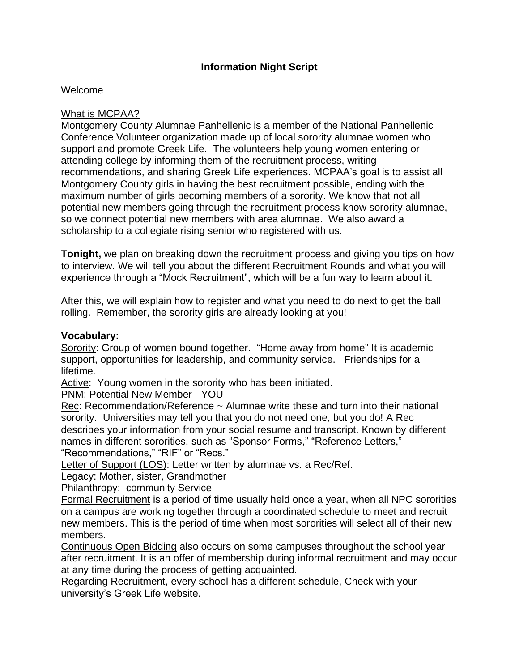### **Information Night Script**

#### Welcome

#### What is MCPAA?

Montgomery County Alumnae Panhellenic is a member of the National Panhellenic Conference Volunteer organization made up of local sorority alumnae women who support and promote Greek Life. The volunteers help young women entering or attending college by informing them of the recruitment process, writing recommendations, and sharing Greek Life experiences. MCPAA's goal is to assist all Montgomery County girls in having the best recruitment possible, ending with the maximum number of girls becoming members of a sorority. We know that not all potential new members going through the recruitment process know sorority alumnae, so we connect potential new members with area alumnae. We also award a scholarship to a collegiate rising senior who registered with us.

**Tonight,** we plan on breaking down the recruitment process and giving you tips on how to interview. We will tell you about the different Recruitment Rounds and what you will experience through a "Mock Recruitment", which will be a fun way to learn about it.

After this, we will explain how to register and what you need to do next to get the ball rolling. Remember, the sorority girls are already looking at you!

#### **Vocabulary:**

Sorority: Group of women bound together. "Home away from home" It is academic support, opportunities for leadership, and community service. Friendships for a lifetime.

Active: Young women in the sorority who has been initiated.

PNM: Potential New Member - YOU

Rec: Recommendation/Reference ~ Alumnae write these and turn into their national sorority. Universities may tell you that you do not need one, but you do! A Rec describes your information from your social resume and transcript. Known by different names in different sororities, such as "Sponsor Forms," "Reference Letters," "Recommendations," "RIF" or "Recs."

Letter of Support (LOS): Letter written by alumnae vs. a Rec/Ref.

Legacy: Mother, sister, Grandmother

Philanthropy: community Service

Formal Recruitment is a period of time usually held once a year, when all NPC sororities on a campus are working together through a coordinated schedule to meet and recruit new members. This is the period of time when most sororities will select all of their new members.

Continuous Open Bidding also occurs on some campuses throughout the school year after recruitment. It is an offer of membership during informal recruitment and may occur at any time during the process of getting acquainted.

Regarding Recruitment, every school has a different schedule, Check with your university's Greek Life website.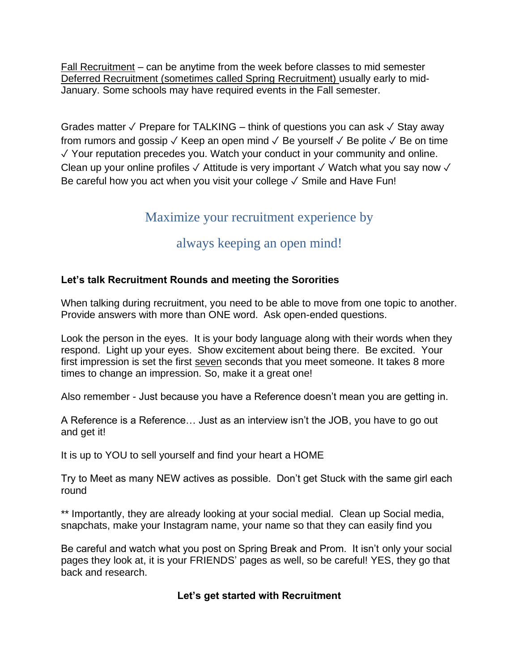Fall Recruitment – can be anytime from the week before classes to mid semester Deferred Recruitment (sometimes called Spring Recruitment) usually early to mid-January. Some schools may have required events in the Fall semester.

Grades matter ✓ Prepare for TALKING – think of questions you can ask ✓ Stay away from rumors and gossip  $\sqrt{ }$  Keep an open mind  $\sqrt{ }$  Be yourself  $\sqrt{ }$  Be polite  $\sqrt{ }$  Be on time ✓ Your reputation precedes you. Watch your conduct in your community and online. Clean up your online profiles  $\checkmark$  Attitude is very important  $\checkmark$  Watch what you say now  $\checkmark$ Be careful how you act when you visit your college √ Smile and Have Fun!

# Maximize your recruitment experience by

# always keeping an open mind!

# **Let's talk Recruitment Rounds and meeting the Sororities**

When talking during recruitment, you need to be able to move from one topic to another. Provide answers with more than ONE word. Ask open-ended questions.

Look the person in the eyes. It is your body language along with their words when they respond. Light up your eyes. Show excitement about being there. Be excited. Your first impression is set the first seven seconds that you meet someone. It takes 8 more times to change an impression. So, make it a great one!

Also remember - Just because you have a Reference doesn't mean you are getting in.

A Reference is a Reference… Just as an interview isn't the JOB, you have to go out and get it!

It is up to YOU to sell yourself and find your heart a HOME

Try to Meet as many NEW actives as possible. Don't get Stuck with the same girl each round

\*\* Importantly, they are already looking at your social medial. Clean up Social media, snapchats, make your Instagram name, your name so that they can easily find you

Be careful and watch what you post on Spring Break and Prom. It isn't only your social pages they look at, it is your FRIENDS' pages as well, so be careful! YES, they go that back and research.

# **Let's get started with Recruitment**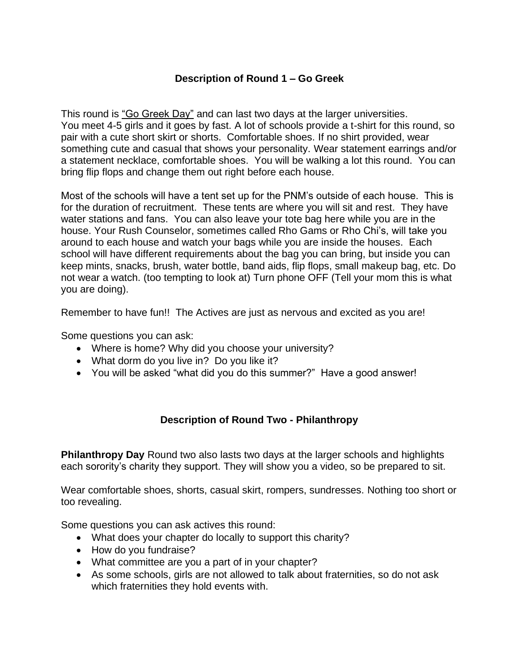# **Description of Round 1 – Go Greek**

This round is "Go Greek Day" and can last two days at the larger universities. You meet 4-5 girls and it goes by fast. A lot of schools provide a t-shirt for this round, so pair with a cute short skirt or shorts. Comfortable shoes. If no shirt provided, wear something cute and casual that shows your personality. Wear statement earrings and/or a statement necklace, comfortable shoes. You will be walking a lot this round. You can bring flip flops and change them out right before each house.

Most of the schools will have a tent set up for the PNM's outside of each house. This is for the duration of recruitment. These tents are where you will sit and rest. They have water stations and fans. You can also leave your tote bag here while you are in the house. Your Rush Counselor, sometimes called Rho Gams or Rho Chi's, will take you around to each house and watch your bags while you are inside the houses. Each school will have different requirements about the bag you can bring, but inside you can keep mints, snacks, brush, water bottle, band aids, flip flops, small makeup bag, etc. Do not wear a watch. (too tempting to look at) Turn phone OFF (Tell your mom this is what you are doing).

Remember to have fun!! The Actives are just as nervous and excited as you are!

Some questions you can ask:

- Where is home? Why did you choose your university?
- What dorm do you live in? Do you like it?
- You will be asked "what did you do this summer?" Have a good answer!

# **Description of Round Two - Philanthropy**

**Philanthropy Day** Round two also lasts two days at the larger schools and highlights each sorority's charity they support. They will show you a video, so be prepared to sit.

Wear comfortable shoes, shorts, casual skirt, rompers, sundresses. Nothing too short or too revealing.

Some questions you can ask actives this round:

- What does your chapter do locally to support this charity?
- How do you fundraise?
- What committee are you a part of in your chapter?
- As some schools, girls are not allowed to talk about fraternities, so do not ask which fraternities they hold events with.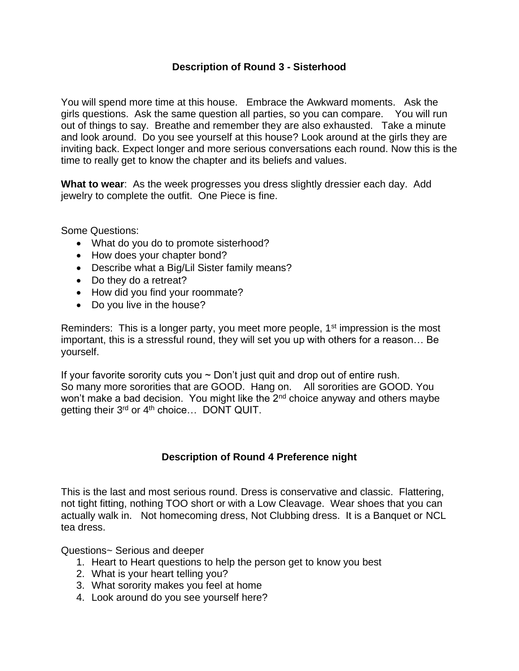## **Description of Round 3 - Sisterhood**

You will spend more time at this house. Embrace the Awkward moments. Ask the girls questions. Ask the same question all parties, so you can compare. You will run out of things to say. Breathe and remember they are also exhausted. Take a minute and look around. Do you see yourself at this house? Look around at the girls they are inviting back. Expect longer and more serious conversations each round. Now this is the time to really get to know the chapter and its beliefs and values.

**What to wear**: As the week progresses you dress slightly dressier each day. Add jewelry to complete the outfit. One Piece is fine.

Some Questions:

- What do you do to promote sisterhood?
- How does your chapter bond?
- Describe what a Big/Lil Sister family means?
- Do they do a retreat?
- How did you find your roommate?
- Do you live in the house?

Reminders: This is a longer party, you meet more people, 1<sup>st</sup> impression is the most important, this is a stressful round, they will set you up with others for a reason… Be yourself.

If your favorite sorority cuts you  $\sim$  Don't just quit and drop out of entire rush. So many more sororities that are GOOD. Hang on. All sororities are GOOD. You won't make a bad decision. You might like the 2<sup>nd</sup> choice anyway and others maybe getting their 3<sup>rd</sup> or 4<sup>th</sup> choice... DONT QUIT.

# **Description of Round 4 Preference night**

This is the last and most serious round. Dress is conservative and classic. Flattering, not tight fitting, nothing TOO short or with a Low Cleavage. Wear shoes that you can actually walk in. Not homecoming dress, Not Clubbing dress. It is a Banquet or NCL tea dress.

Questions~ Serious and deeper

- 1. Heart to Heart questions to help the person get to know you best
- 2. What is your heart telling you?
- 3. What sorority makes you feel at home
- 4. Look around do you see yourself here?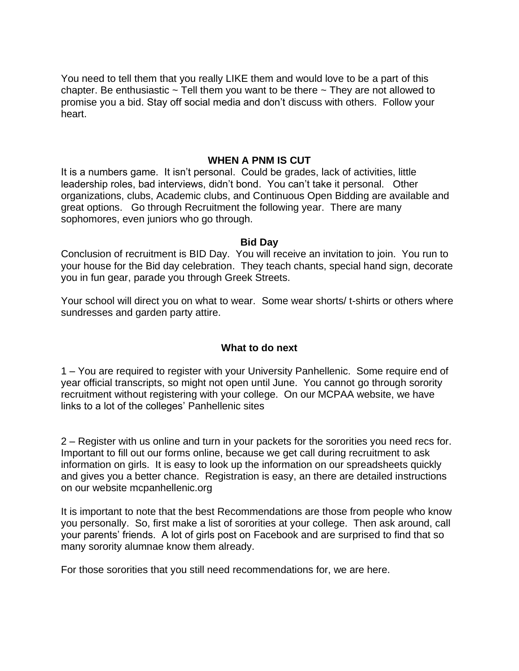You need to tell them that you really LIKE them and would love to be a part of this chapter. Be enthusiastic  $\sim$  Tell them you want to be there  $\sim$  They are not allowed to promise you a bid. Stay off social media and don't discuss with others. Follow your heart.

#### **WHEN A PNM IS CUT**

It is a numbers game. It isn't personal. Could be grades, lack of activities, little leadership roles, bad interviews, didn't bond. You can't take it personal. Other organizations, clubs, Academic clubs, and Continuous Open Bidding are available and great options. Go through Recruitment the following year. There are many sophomores, even juniors who go through.

#### **Bid Day**

Conclusion of recruitment is BID Day. You will receive an invitation to join. You run to your house for the Bid day celebration. They teach chants, special hand sign, decorate you in fun gear, parade you through Greek Streets.

Your school will direct you on what to wear. Some wear shorts/ t-shirts or others where sundresses and garden party attire.

#### **What to do next**

1 – You are required to register with your University Panhellenic. Some require end of year official transcripts, so might not open until June. You cannot go through sorority recruitment without registering with your college. On our MCPAA website, we have links to a lot of the colleges' Panhellenic sites

2 – Register with us online and turn in your packets for the sororities you need recs for. Important to fill out our forms online, because we get call during recruitment to ask information on girls. It is easy to look up the information on our spreadsheets quickly and gives you a better chance. Registration is easy, an there are detailed instructions on our website mcpanhellenic.org

It is important to note that the best Recommendations are those from people who know you personally. So, first make a list of sororities at your college. Then ask around, call your parents' friends. A lot of girls post on Facebook and are surprised to find that so many sorority alumnae know them already.

For those sororities that you still need recommendations for, we are here.